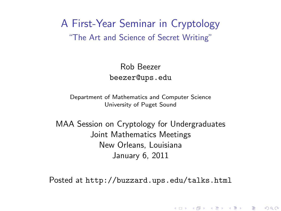A First-Year Seminar in Cryptology "The Art and Science of Secret Writing"

> Rob Beezer beezer@ups.edu

Department of Mathematics and Computer Science University of Puget Sound

MAA Session on Cryptology for Undergraduates Joint Mathematics Meetings New Orleans, Louisiana January 6, 2011

<span id="page-0-0"></span>Posted at <http://buzzard.ups.edu/talks.html>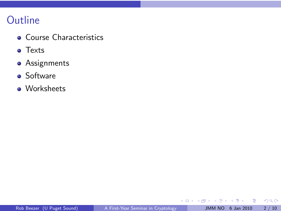# **Outline**

- Course Characteristics
- **o** Texts
- **•** Assignments

#### **o** Software

**•** Worksheets

Ħ

 $\mathbf{p}$ 

 $\rightarrow$ 

重

 $299$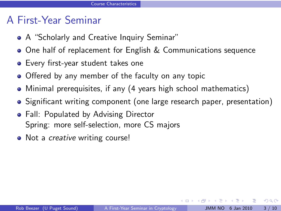# A First-Year Seminar

- A "Scholarly and Creative Inquiry Seminar"
- **One half of replacement for English & Communications sequence**
- Every first-year student takes one
- Offered by any member of the faculty on any topic
- Minimal prerequisites, if any (4 years high school mathematics)
- Significant writing component (one large research paper, presentation)
- Fall: Populated by Advising Director Spring: more self-selection, more CS majors
- Not a *creative* writing course!

 $\Omega$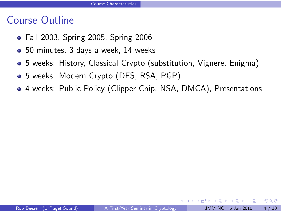### Course Outline

- Fall 2003, Spring 2005, Spring 2006
- 50 minutes, 3 days a week, 14 weeks
- 5 weeks: History, Classical Crypto (substitution, Vignere, Enigma)
- 5 weeks: Modern Crypto (DES, RSA, PGP)
- 4 weeks: Public Policy (Clipper Chip, NSA, DMCA), Presentations

4 0 8

 $\Omega$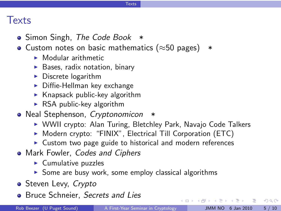#### **Texts**

#### **Texts**

- Simon Singh, The Code Book  $*$
- Custom notes on basic mathematics ( $\approx$ 50 pages)  $*$ 
	- $\blacktriangleright$  Modular arithmetic
	- $\blacktriangleright$  Bases, radix notation, binary
	- $\blacktriangleright$  Discrete logarithm
	- $\triangleright$  Diffie-Hellman key exchange
	- $\blacktriangleright$  Knapsack public-key algorithm
	- $\triangleright$  RSA public-key algorithm
- Neal Stephenson, Cryptonomicon \*
	- ▶ WWII crypto: Alan Turing, Bletchley Park, Navajo Code Talkers
	- $\triangleright$  Modern crypto: "FINIX", Electrical Till Corporation (ETC)
	- $\triangleright$  Custom two page guide to historical and modern references
- Mark Fowler, Codes and Ciphers
	- $\blacktriangleright$  Cumulative puzzles
	- $\triangleright$  Some are busy work, some employ classical algorithms
- Steven Levy, Crypto
- Bruce Schneier, Secrets and Lies

- 국

 $QQ$ 

 $4$  ロ )  $4$  何 )  $4$  ミ )  $4$  ( = )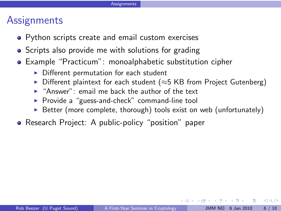# **Assignments**

- Python scripts create and email custom exercises
- Scripts also provide me with solutions for grading
- Example "Practicum": monoalphabetic substitution cipher
	- $\triangleright$  Different permutation for each student
	- $\triangleright$  Different plaintext for each student ( $\approx$ 5 KB from Project Gutenberg)
	- $\blacktriangleright$  "Answer": email me back the author of the text
	- ▶ Provide a "guess-and-check" command-line tool
	- $\triangleright$  Better (more complete, thorough) tools exist on web (unfortunately)
- Research Project: A public-policy "position" paper

 $QQ$ 

**4 ロ ト 4 何 ト 4**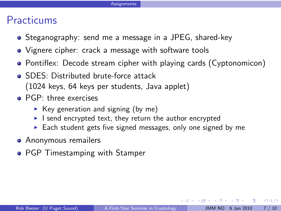### **Practicums**

- Steganography: send me a message in a JPEG, shared-key
- Vignere cipher: crack a message with software tools
- Pontiflex: Decode stream cipher with playing cards (Cyptonomicon)
- **SDES: Distributed brute-force attack** (1024 keys, 64 keys per students, Java applet)
- **PGP**: three exercises
	- $\triangleright$  Key generation and signing (by me)
	- $\blacktriangleright$  I send encrypted text, they return the author encrypted
	- $\triangleright$  Each student gets five signed messages, only one signed by me
- **•** Anonymous remailers
- PGP Timestamping with Stamper

 $\Omega$ 

 $($   $\Box$   $)$   $($   $\Box$   $)$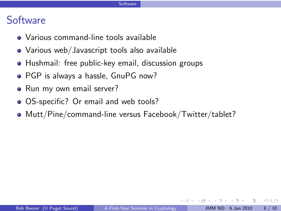#### **Software**

- Various command-line tools available
- Various web/Javascript tools also available
- Hushmail: free public-key email, discussion groups
- PGP is always a hassle, GnuPG now?
- Run my own email server?
- OS-specific? Or email and web tools?
- Mutt/Pine/command-line versus Facebook/Twitter/tablet?

 $\Omega$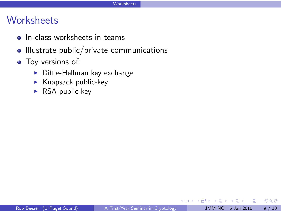# **Worksheets**

- **o** In-class worksheets in teams
- Illustrate public/private communications
- Toy versions of:
	- $\triangleright$  Diffie-Hellman key exchange
	- $\blacktriangleright$  Knapsack public-key
	- $\triangleright$  RSA public-key

4 0 F ∢ ⊕ **B**   $2Q$